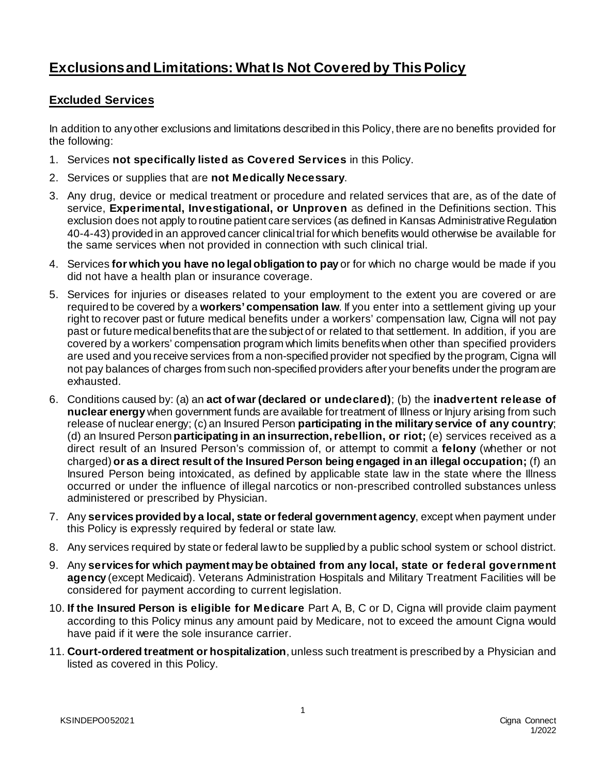## **Exclusions and Limitations: What Is Not Covered by This Policy**

## **Excluded Services**

In addition to any other exclusions and limitations described in this Policy, there are no benefits provided for the following:

- 1. Services **not specifically listed as Covered Services** in this Policy.
- 2. Services or supplies that are **not Medically Necessary**.
- 3. Any drug, device or medical treatment or procedure and related services that are, as of the date of service, **Experimental, Investigational, or Unproven** as defined in the Definitions section. This exclusion does not apply to routine patient care services (as defined in Kansas Administrative Regulation 40-4-43) provided in an approved cancer clinical trial for which benefits would otherwise be available for the same services when not provided in connection with such clinical trial.
- 4. Services **for which you have no legal obligation to pay** or for which no charge would be made if you did not have a health plan or insurance coverage.
- 5. Services for injuries or diseases related to your employment to the extent you are covered or are required to be covered by a **workers' compensation law**. If you enter into a settlement giving up your right to recover past or future medical benefits under a workers' compensation law, Cigna will not pay past or future medical benefits that are the subject of or related to that settlement. In addition, if you are covered by a workers' compensation program which limits benefits when other than specified providers are used and you receive services from a non-specified provider not specified by the program, Cigna will not pay balances of charges from such non-specified providers after your benefits under the program are exhausted.
- 6. Conditions caused by: (a) an **act of war(declared or undeclared)**; (b) the **inadvertent release of nuclear energy** when government funds are available for treatment of Illness or Injury arising from such release of nuclear energy; (c) an Insured Person **participating in the military service of any country**; (d) an Insured Person **participating in an insurrection, rebellion, or riot;** (e) services received as a direct result of an Insured Person's commission of, or attempt to commit a **felony** (whether or not charged) **or as a direct result of the Insured Person being engaged in an illegal occupation;** (f) an Insured Person being intoxicated, as defined by applicable state law in the state where the Illness occurred or under the influence of illegal narcotics or non-prescribed controlled substances unless administered or prescribed by Physician.
- 7. Any **services provided by a local, state or federal government agency**, except when payment under this Policy is expressly required by federal or state law.
- 8. Any services required by state or federal law to be supplied by a public school system or school district.
- 9. Any **services for which payment may be obtained from any local, state or federal government agency** (except Medicaid). Veterans Administration Hospitals and Military Treatment Facilities will be considered for payment according to current legislation.
- 10. **If the Insured Person is eligible for Medicare** Part A, B, C or D, Cigna will provide claim payment according to this Policy minus any amount paid by Medicare, not to exceed the amount Cigna would have paid if it were the sole insurance carrier.
- 11. **Court-ordered treatment or hospitalization**, unless such treatment is prescribed by a Physician and listed as covered in this Policy.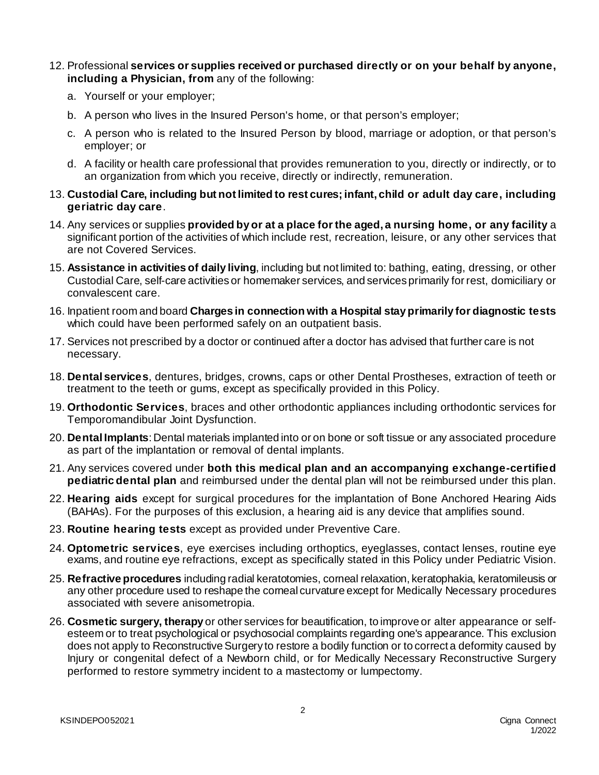- 12. Professional **services or supplies received or purchased directly or on your behalf by anyone, including a Physician, from** any of the following:
	- a. Yourself or your employer;
	- b. A person who lives in the Insured Person's home, or that person's employer;
	- c. A person who is related to the Insured Person by blood, marriage or adoption, or that person's employer; or
	- d. A facility or health care professional that provides remuneration to you, directly or indirectly, or to an organization from which you receive, directly or indirectly, remuneration.
- 13. **Custodial Care, including but not limited to rest cures; infant, child or adult day care, including geriatric day care**.
- 14. Any services or supplies **provided by or at a place for the aged, a nursing home, or any facility** a significant portion of the activities of which include rest, recreation, leisure, or any other services that are not Covered Services.
- 15. **Assistance in activities of daily living**, including but not limited to: bathing, eating, dressing, or other Custodial Care, self-care activities or homemaker services, and services primarily for rest, domiciliary or convalescent care.
- 16. Inpatient room and board **Charges in connection with a Hospital stay primarily for diagnostic tests** which could have been performed safely on an outpatient basis.
- 17. Services not prescribed by a doctor or continued after a doctor has advised that further care is not necessary.
- 18. **Dental services**, dentures, bridges, crowns, caps or other Dental Prostheses, extraction of teeth or treatment to the teeth or gums, except as specifically provided in this Policy.
- 19. **Orthodontic Services**, braces and other orthodontic appliances including orthodontic services for Temporomandibular Joint Dysfunction.
- 20. **Dental Implants**: Dental materials implanted into or on bone or soft tissue or any associated procedure as part of the implantation or removal of dental implants.
- 21. Any services covered under **both this medical plan and an accompanying exchange-certified pediatric dental plan** and reimbursed under the dental plan will not be reimbursed under this plan.
- 22. **Hearing aids** except for surgical procedures for the implantation of Bone Anchored Hearing Aids (BAHAs). For the purposes of this exclusion, a hearing aid is any device that amplifies sound.
- 23. **Routine hearing tests** except as provided under Preventive Care.
- 24. **Optometric services**, eye exercises including orthoptics, eyeglasses, contact lenses, routine eye exams, and routine eye refractions, except as specifically stated in this Policy under Pediatric Vision.
- 25. **Refractive procedures** including radial keratotomies, corneal relaxation, keratophakia, keratomileusis or any other procedure used to reshape the corneal curvature except for Medically Necessary procedures associated with severe anisometropia.
- 26. **Cosmetic surgery, therapy** or other services for beautification, to improve or alter appearance or selfesteem or to treat psychological or psychosocial complaints regarding one's appearance. This exclusion does not apply to Reconstructive Surgery to restore a bodily function or to correct a deformity caused by Injury or congenital defect of a Newborn child, or for Medically Necessary Reconstructive Surgery performed to restore symmetry incident to a mastectomy or lumpectomy.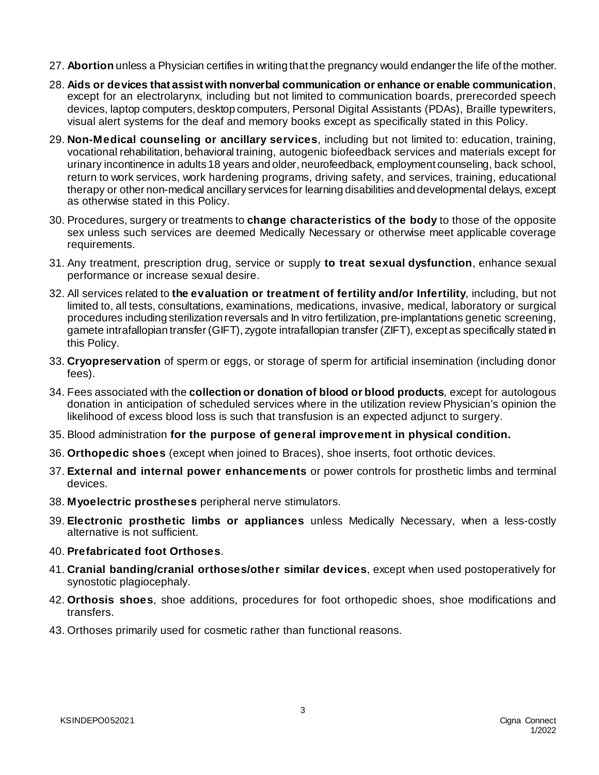- 27. **Abortion** unless a Physician certifies in writing that the pregnancy would endanger the life of the mother.
- 28. **Aids or devices that assist with nonverbal communication or enhance or enable communication**, except for an electrolarynx, including but not limited to communication boards, prerecorded speech devices, laptop computers, desktop computers, Personal Digital Assistants (PDAs), Braille typewriters, visual alert systems for the deaf and memory books except as specifically stated in this Policy.
- 29. **Non-Medical counseling or ancillary services**, including but not limited to: education, training, vocational rehabilitation, behavioral training, autogenic biofeedback services and materials except for urinary incontinence in adults 18 years and older, neurofeedback, employment counseling, back school, return to work services, work hardening programs, driving safety, and services, training, educational therapy or other non-medical ancillary services for learning disabilities and developmental delays, except as otherwise stated in this Policy.
- 30. Procedures, surgery or treatments to **change characteristics of the body** to those of the opposite sex unless such services are deemed Medically Necessary or otherwise meet applicable coverage requirements.
- 31. Any treatment, prescription drug, service or supply **to treat sexual dysfunction**, enhance sexual performance or increase sexual desire.
- 32. All services related to **the evaluation or treatment of fertility and/or Infertility**, including, but not limited to, all tests, consultations, examinations, medications, invasive, medical, laboratory or surgical procedures including sterilization reversals and In vitro fertilization, pre-implantations genetic screening, gamete intrafallopian transfer (GIFT), zygote intrafallopian transfer (ZIFT), except as specifically stated in this Policy.
- 33. **Cryopreservation** of sperm or eggs, or storage of sperm for artificial insemination (including donor fees).
- 34. Fees associated with the **collection or donation of blood or blood products**, except for autologous donation in anticipation of scheduled services where in the utilization review Physician's opinion the likelihood of excess blood loss is such that transfusion is an expected adjunct to surgery.
- 35. Blood administration **for the purpose of general improvement in physical condition.**
- 36. **Orthopedic shoes** (except when joined to Braces), shoe inserts, foot orthotic devices.
- 37. **External and internal power enhancements** or power controls for prosthetic limbs and terminal devices.
- 38. **Myoelectric prostheses** peripheral nerve stimulators.
- 39. **Electronic prosthetic limbs or appliances** unless Medically Necessary, when a less-costly alternative is not sufficient.
- 40. **Prefabricated foot Orthoses**.
- 41. **Cranial banding/cranial orthoses/other similar devices**, except when used postoperatively for synostotic plagiocephaly.
- 42. **Orthosis shoes**, shoe additions, procedures for foot orthopedic shoes, shoe modifications and transfers.
- 43. Orthoses primarily used for cosmetic rather than functional reasons.